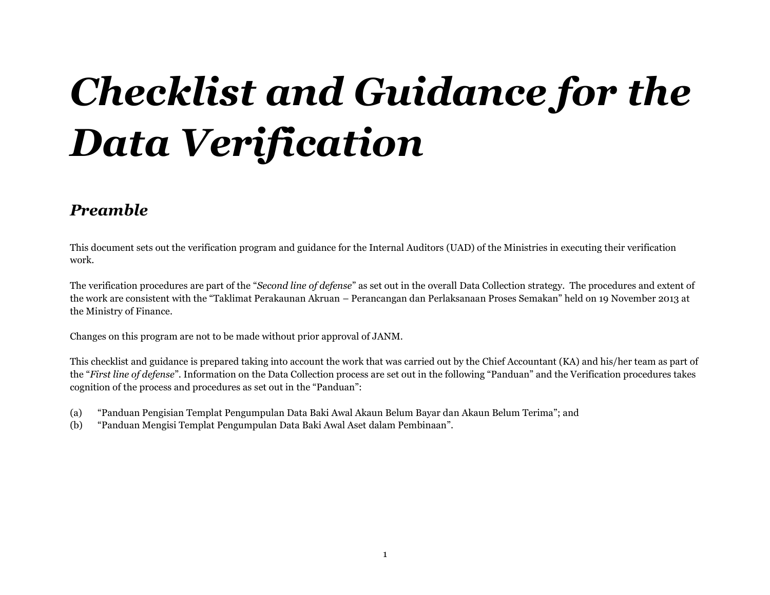# *Checklist and Guidance for the Data Verification*

#### *Preamble*

This document sets out the verification program and guidance for the Internal Auditors (UAD) of the Ministries in executing their verification work.

The verification procedures are part of the "*Second line of defense*" as set out in the overall Data Collection strategy. The procedures and extent of the work are consistent with the "Taklimat Perakaunan Akruan – Perancangan dan Perlaksanaan Proses Semakan" held on 19 November 2013 at the Ministry of Finance.

Changes on this program are not to be made without prior approval of JANM.

This checklist and guidance is prepared taking into account the work that was carried out by the Chief Accountant (KA) and his/her team as part of the "*First line of defense*". Information on the Data Collection process are set out in the following "Panduan" and the Verification procedures takes cognition of the process and procedures as set out in the "Panduan":

- (a) "Panduan Pengisian Templat Pengumpulan Data Baki Awal Akaun Belum Bayar dan Akaun Belum Terima"; and
- (b) "Panduan Mengisi Templat Pengumpulan Data Baki Awal Aset dalam Pembinaan".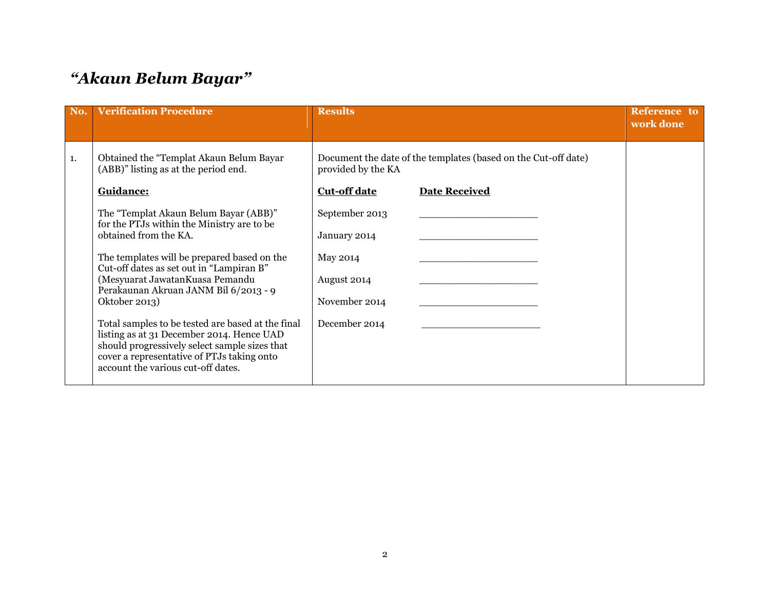### *"Akaun Belum Bayar"*

| No. | <b>Verification Procedure</b>                                                                                                                                                                                                       | <b>Results</b>      |                                                                | <b>Reference</b> to<br>work done |
|-----|-------------------------------------------------------------------------------------------------------------------------------------------------------------------------------------------------------------------------------------|---------------------|----------------------------------------------------------------|----------------------------------|
| 1.  | Obtained the "Templat Akaun Belum Bayar<br>(ABB)" listing as at the period end.                                                                                                                                                     | provided by the KA  | Document the date of the templates (based on the Cut-off date) |                                  |
|     | Guidance:                                                                                                                                                                                                                           | <b>Cut-off date</b> | <b>Date Received</b>                                           |                                  |
|     | The "Templat Akaun Belum Bayar (ABB)"<br>for the PTJs within the Ministry are to be                                                                                                                                                 | September 2013      |                                                                |                                  |
|     | obtained from the KA.                                                                                                                                                                                                               | January 2014        |                                                                |                                  |
|     | The templates will be prepared based on the<br>Cut-off dates as set out in "Lampiran B"                                                                                                                                             | May 2014            |                                                                |                                  |
|     | (Mesyuarat Jawatan Kuasa Pemandu<br>Perakaunan Akruan JANM Bil 6/2013 - 9                                                                                                                                                           | August 2014         |                                                                |                                  |
|     | Oktober 2013)                                                                                                                                                                                                                       | November 2014       |                                                                |                                  |
|     | Total samples to be tested are based at the final<br>listing as at 31 December 2014. Hence UAD<br>should progressively select sample sizes that<br>cover a representative of PTJs taking onto<br>account the various cut-off dates. | December 2014       |                                                                |                                  |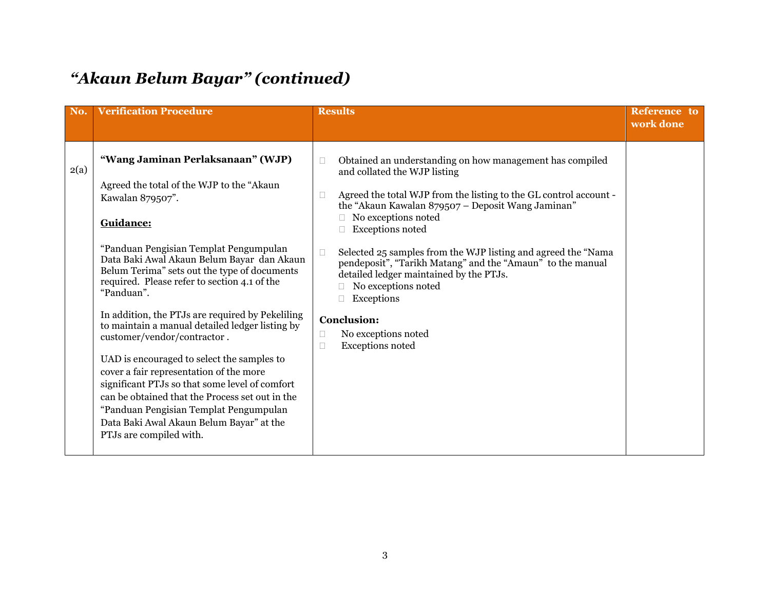| No.  | <b>Verification Procedure</b>                                                                                                                                                                                                                                                                                                                                                                                                                                                                                                                                                                                                                                                                                                                                              | <b>Results</b>                                                                                                                                                                                                                                                                                                                                                                                                                                                                                                                                                                                      | <b>Reference</b> to<br>work done |
|------|----------------------------------------------------------------------------------------------------------------------------------------------------------------------------------------------------------------------------------------------------------------------------------------------------------------------------------------------------------------------------------------------------------------------------------------------------------------------------------------------------------------------------------------------------------------------------------------------------------------------------------------------------------------------------------------------------------------------------------------------------------------------------|-----------------------------------------------------------------------------------------------------------------------------------------------------------------------------------------------------------------------------------------------------------------------------------------------------------------------------------------------------------------------------------------------------------------------------------------------------------------------------------------------------------------------------------------------------------------------------------------------------|----------------------------------|
| 2(a) | "Wang Jaminan Perlaksanaan" (WJP)<br>Agreed the total of the WJP to the "Akaun<br>Kawalan 879507".<br>Guidance:<br>"Panduan Pengisian Templat Pengumpulan<br>Data Baki Awal Akaun Belum Bayar dan Akaun<br>Belum Terima" sets out the type of documents<br>required. Please refer to section 4.1 of the<br>"Panduan".<br>In addition, the PTJs are required by Pekeliling<br>to maintain a manual detailed ledger listing by<br>customer/vendor/contractor.<br>UAD is encouraged to select the samples to<br>cover a fair representation of the more<br>significant PTJs so that some level of comfort<br>can be obtained that the Process set out in the<br>"Panduan Pengisian Templat Pengumpulan<br>Data Baki Awal Akaun Belum Bayar" at the<br>PTJs are compiled with. | Obtained an understanding on how management has compiled<br>$\Box$<br>and collated the WJP listing<br>Agreed the total WJP from the listing to the GL control account -<br>П<br>the "Akaun Kawalan 879507 - Deposit Wang Jaminan"<br>No exceptions noted<br><b>Exceptions noted</b><br>Selected 25 samples from the WJP listing and agreed the "Nama<br>$\Box$<br>pendeposit", "Tarikh Matang" and the "Amaun" to the manual<br>detailed ledger maintained by the PTJs.<br>No exceptions noted<br>Exceptions<br><b>Conclusion:</b><br>No exceptions noted<br>□<br><b>Exceptions noted</b><br>$\Box$ |                                  |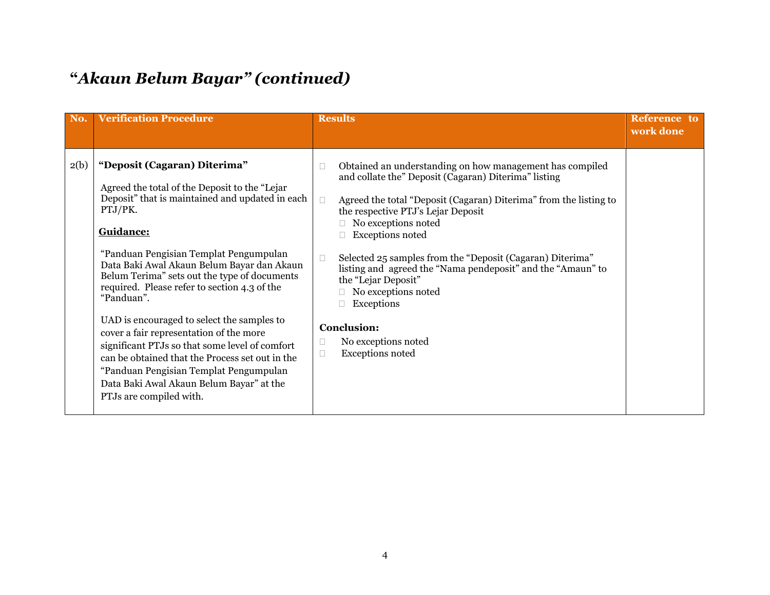| No.  | <b>Verification Procedure</b>                                                                                                                                                                                                                                                                                                                                                                                                                                                                                                                                                                                                                                                  | <b>Results</b>                                                                                                                                                                                                                                                                                                                                                                                                                                                                                                                                                                        | Reference to<br>work done |
|------|--------------------------------------------------------------------------------------------------------------------------------------------------------------------------------------------------------------------------------------------------------------------------------------------------------------------------------------------------------------------------------------------------------------------------------------------------------------------------------------------------------------------------------------------------------------------------------------------------------------------------------------------------------------------------------|---------------------------------------------------------------------------------------------------------------------------------------------------------------------------------------------------------------------------------------------------------------------------------------------------------------------------------------------------------------------------------------------------------------------------------------------------------------------------------------------------------------------------------------------------------------------------------------|---------------------------|
| 2(b) | "Deposit (Cagaran) Diterima"<br>Agreed the total of the Deposit to the "Lejar"<br>Deposit" that is maintained and updated in each<br>PTJ/PK.<br>Guidance:<br>"Panduan Pengisian Templat Pengumpulan<br>Data Baki Awal Akaun Belum Bayar dan Akaun<br>Belum Terima" sets out the type of documents<br>required. Please refer to section 4.3 of the<br>"Panduan".<br>UAD is encouraged to select the samples to<br>cover a fair representation of the more<br>significant PTJs so that some level of comfort<br>can be obtained that the Process set out in the<br>"Panduan Pengisian Templat Pengumpulan<br>Data Baki Awal Akaun Belum Bayar" at the<br>PTJs are compiled with. | Obtained an understanding on how management has compiled<br>and collate the" Deposit (Cagaran) Diterima" listing<br>Agreed the total "Deposit (Cagaran) Diterima" from the listing to<br>$\Box$<br>the respective PTJ's Lejar Deposit<br>No exceptions noted<br><b>Exceptions noted</b><br>Selected 25 samples from the "Deposit (Cagaran) Diterima"<br>$\Box$<br>listing and agreed the "Nama pendeposit" and the "Amaun" to<br>the "Lejar Deposit"<br>No exceptions noted<br>Exceptions<br><b>Conclusion:</b><br>No exceptions noted<br>$\Box$<br><b>Exceptions noted</b><br>$\Box$ |                           |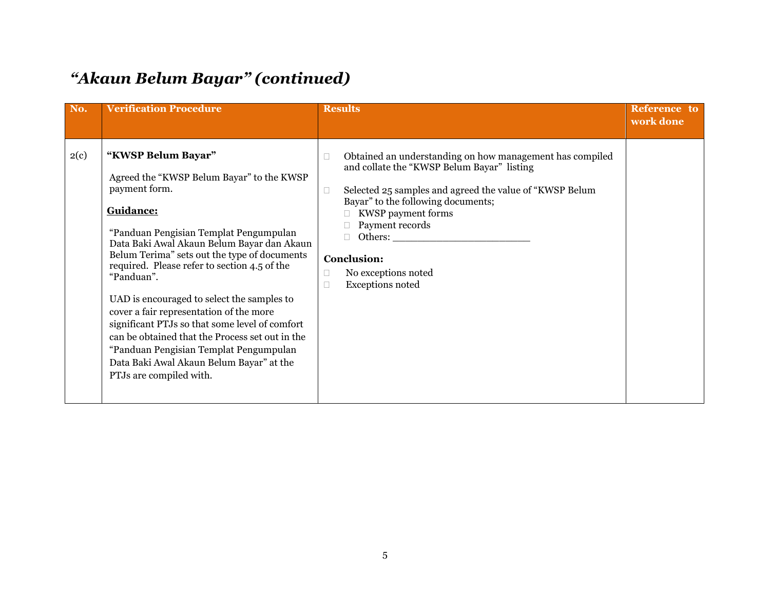| No.  | <b>Verification Procedure</b>                                                                                                                                                                                                                                                                                                                                                                                                                                                                                                                                                                                      | <b>Results</b>                                                                                                                                                                                                                                                                                                                                                    | Reference to<br>work done |
|------|--------------------------------------------------------------------------------------------------------------------------------------------------------------------------------------------------------------------------------------------------------------------------------------------------------------------------------------------------------------------------------------------------------------------------------------------------------------------------------------------------------------------------------------------------------------------------------------------------------------------|-------------------------------------------------------------------------------------------------------------------------------------------------------------------------------------------------------------------------------------------------------------------------------------------------------------------------------------------------------------------|---------------------------|
| 2(c) | "KWSP Belum Bayar"<br>Agreed the "KWSP Belum Bayar" to the KWSP<br>payment form.<br>Guidance:<br>"Panduan Pengisian Templat Pengumpulan<br>Data Baki Awal Akaun Belum Bayar dan Akaun<br>Belum Terima" sets out the type of documents<br>required. Please refer to section 4.5 of the<br>"Panduan".<br>UAD is encouraged to select the samples to<br>cover a fair representation of the more<br>significant PTJs so that some level of comfort<br>can be obtained that the Process set out in the<br>"Panduan Pengisian Templat Pengumpulan<br>Data Baki Awal Akaun Belum Bayar" at the<br>PTJs are compiled with. | Obtained an understanding on how management has compiled<br>$\Box$<br>and collate the "KWSP Belum Bayar" listing<br>Selected 25 samples and agreed the value of "KWSP Belum<br>$\Box$<br>Bayar" to the following documents;<br>KWSP payment forms<br>Payment records<br>П.<br><b>Conclusion:</b><br>No exceptions noted<br>П<br><b>Exceptions noted</b><br>$\Box$ |                           |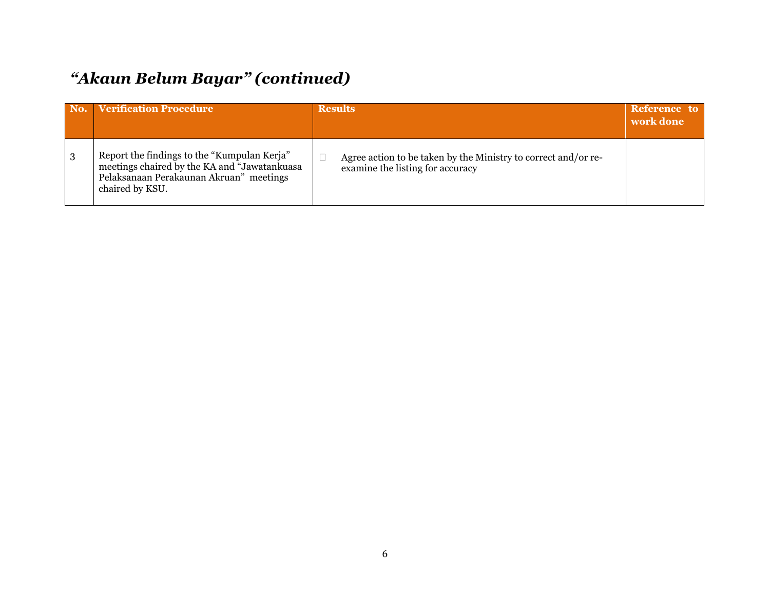|   | No. Verification Procedure                                                                                                                                | <b>Results</b>                                                                                     | Reference to<br>work done |
|---|-----------------------------------------------------------------------------------------------------------------------------------------------------------|----------------------------------------------------------------------------------------------------|---------------------------|
| 3 | Report the findings to the "Kumpulan Kerja"<br>meetings chaired by the KA and "Jawatankuasa<br>Pelaksanaan Perakaunan Akruan" meetings<br>chaired by KSU. | Agree action to be taken by the Ministry to correct and/or re-<br>examine the listing for accuracy |                           |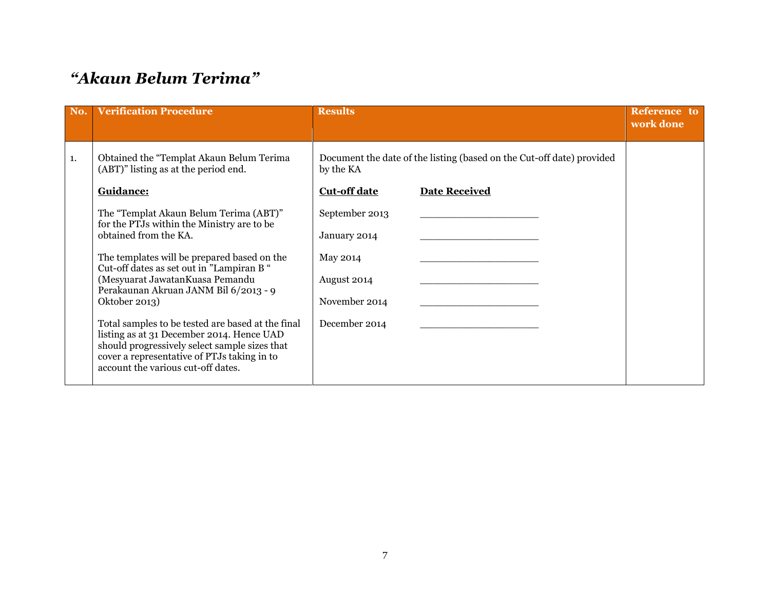#### *"Akaun Belum Terima"*

| No. | <b>Verification Procedure</b>                                                                                                                                                                                                        | <b>Results</b>      |                                                                       | Reference to<br>work done |
|-----|--------------------------------------------------------------------------------------------------------------------------------------------------------------------------------------------------------------------------------------|---------------------|-----------------------------------------------------------------------|---------------------------|
| 1.  | Obtained the "Templat Akaun Belum Terima<br>(ABT)" listing as at the period end.                                                                                                                                                     | by the KA           | Document the date of the listing (based on the Cut-off date) provided |                           |
|     | Guidance:                                                                                                                                                                                                                            | <b>Cut-off date</b> | <b>Date Received</b>                                                  |                           |
|     | The "Templat Akaun Belum Terima (ABT)"<br>for the PTJs within the Ministry are to be                                                                                                                                                 | September 2013      |                                                                       |                           |
|     | obtained from the KA.                                                                                                                                                                                                                | January 2014        |                                                                       |                           |
|     | The templates will be prepared based on the<br>Cut-off dates as set out in "Lampiran B"                                                                                                                                              | May 2014            |                                                                       |                           |
|     | (Mesyuarat Jawatan Kuasa Pemandu<br>Perakaunan Akruan JANM Bil 6/2013 - 9                                                                                                                                                            | August 2014         |                                                                       |                           |
|     | Oktober 2013)                                                                                                                                                                                                                        | November 2014       |                                                                       |                           |
|     | Total samples to be tested are based at the final<br>listing as at 31 December 2014. Hence UAD<br>should progressively select sample sizes that<br>cover a representative of PTJs taking in to<br>account the various cut-off dates. | December 2014       |                                                                       |                           |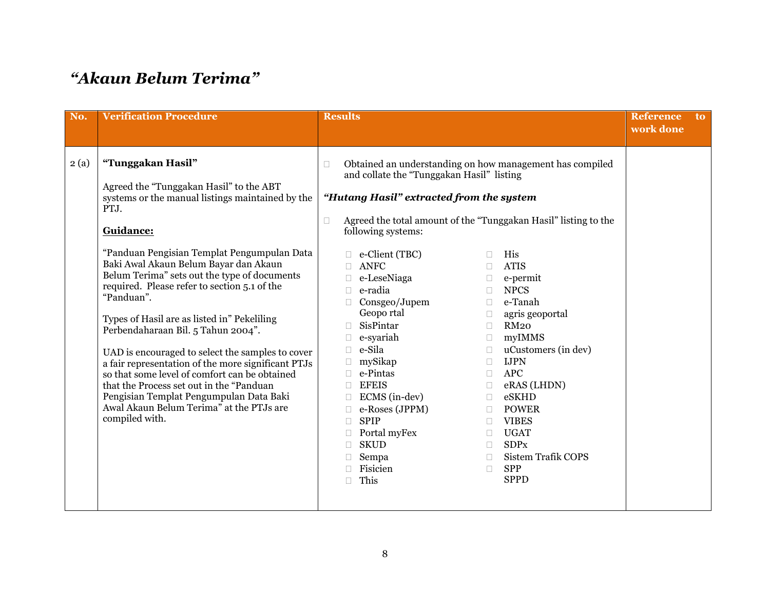#### *"Akaun Belum Terima"*

| No.  | <b>Verification Procedure</b>                                                                                                                                                                                                                                                                                                                                                                                                                                                                                                                                                                                                                                                                                                                    | <b>Results</b>                                                                                                                                                                                                                                                                                                                                                                                                                                                                                                                                                                                                                                                                                                                                                                                                                                                                                                                                                                                                       | <b>Reference</b><br>to.<br>work done |
|------|--------------------------------------------------------------------------------------------------------------------------------------------------------------------------------------------------------------------------------------------------------------------------------------------------------------------------------------------------------------------------------------------------------------------------------------------------------------------------------------------------------------------------------------------------------------------------------------------------------------------------------------------------------------------------------------------------------------------------------------------------|----------------------------------------------------------------------------------------------------------------------------------------------------------------------------------------------------------------------------------------------------------------------------------------------------------------------------------------------------------------------------------------------------------------------------------------------------------------------------------------------------------------------------------------------------------------------------------------------------------------------------------------------------------------------------------------------------------------------------------------------------------------------------------------------------------------------------------------------------------------------------------------------------------------------------------------------------------------------------------------------------------------------|--------------------------------------|
| 2(a) | "Tunggakan Hasil"<br>Agreed the "Tunggakan Hasil" to the ABT<br>systems or the manual listings maintained by the<br>PTJ.<br>Guidance:<br>"Panduan Pengisian Templat Pengumpulan Data<br>Baki Awal Akaun Belum Bayar dan Akaun<br>Belum Terima" sets out the type of documents<br>required. Please refer to section 5.1 of the<br>"Panduan".<br>Types of Hasil are as listed in" Pekeliling<br>Perbendaharaan Bil. 5 Tahun 2004".<br>UAD is encouraged to select the samples to cover<br>a fair representation of the more significant PTJs<br>so that some level of comfort can be obtained<br>that the Process set out in the "Panduan<br>Pengisian Templat Pengumpulan Data Baki<br>Awal Akaun Belum Terima" at the PTJs are<br>compiled with. | Obtained an understanding on how management has compiled<br>П<br>and collate the "Tunggakan Hasil" listing<br>"Hutang Hasil" extracted from the system<br>Agreed the total amount of the "Tunggakan Hasil" listing to the<br>$\Box$<br>following systems:<br>e-Client (TBC)<br>His<br>П<br>ANFC<br><b>ATIS</b><br>П<br>e-LeseNiaga<br>e-permit<br>$\Box$<br><b>NPCS</b><br>e-radia<br>$\Box$<br>Consgeo/Jupem<br>e-Tanah<br>$\Box$<br>Geopo rtal<br>agris geoportal<br>$\Box$<br>SisPintar<br><b>RM20</b><br>$\Box$<br>myIMMS<br>e-syariah<br>П.<br>e-Sila<br>uCustomers (in dev)<br>$\Box$<br>mySikap<br><b>IJPN</b><br>$\Box$<br>e-Pintas<br><b>APC</b><br>П.<br><b>EFEIS</b><br>eRAS (LHDN)<br>$\Box$<br>ECMS (in-dev)<br>eSKHD<br>$\Box$<br>e-Roses (JPPM)<br><b>POWER</b><br>П.<br><b>SPIP</b><br><b>VIBES</b><br>$\Box$<br>Portal myFex<br><b>UGAT</b><br>$\Box$<br><b>SKUD</b><br><b>SDPx</b><br>П<br><b>Sistem Trafik COPS</b><br>Sempa<br>$\Box$<br>Fisicien<br><b>SPP</b><br>$\Box$<br><b>SPPD</b><br>This |                                      |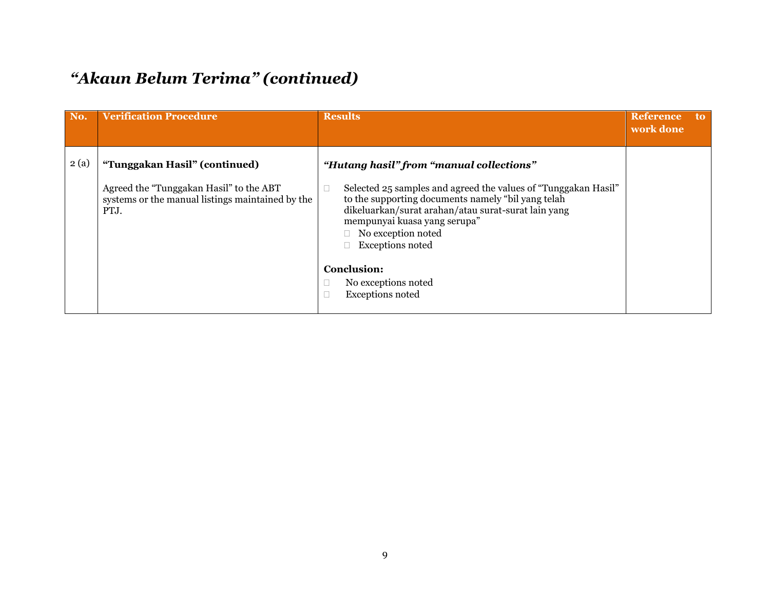#### *"Akaun Belum Terima" (continued)*

| No.  | <b>Verification Procedure</b>                                                                                                        | <b>Results</b>                                                                                                                                                                                                                                                                                           | <b>Reference</b><br>work done | to. |
|------|--------------------------------------------------------------------------------------------------------------------------------------|----------------------------------------------------------------------------------------------------------------------------------------------------------------------------------------------------------------------------------------------------------------------------------------------------------|-------------------------------|-----|
| 2(a) | "Tunggakan Hasil" (continued)<br>Agreed the "Tunggakan Hasil" to the ABT<br>systems or the manual listings maintained by the<br>PTJ. | "Hutang hasil" from "manual collections"<br>Selected 25 samples and agreed the values of "Tunggakan Hasil"<br>to the supporting documents namely "bil yang telah<br>dikeluarkan/surat arahan/atau surat-surat lain yang<br>mempunyai kuasa yang serupa"<br>No exception noted<br><b>Exceptions noted</b> |                               |     |
|      |                                                                                                                                      | <b>Conclusion:</b><br>No exceptions noted<br><b>Exceptions noted</b>                                                                                                                                                                                                                                     |                               |     |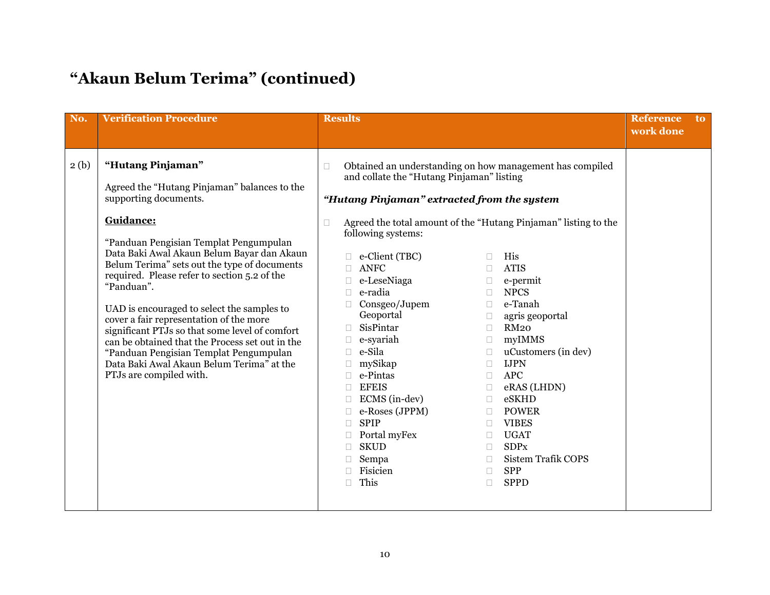## **"Akaun Belum Terima" (continued)**

| No.  | <b>Verification Procedure</b>                                                                                                                                                                                                                                                                                                                                                                                                                                                                                                                                                                                                 | <b>Results</b>                                                                                                                                                                                                                                                                                                                                                                                                                                                                                                                                                                                                                                                                                                                                                                                                                                                                                                                                                                                                                       | <b>Reference</b><br><sub>to</sub><br>work done |
|------|-------------------------------------------------------------------------------------------------------------------------------------------------------------------------------------------------------------------------------------------------------------------------------------------------------------------------------------------------------------------------------------------------------------------------------------------------------------------------------------------------------------------------------------------------------------------------------------------------------------------------------|--------------------------------------------------------------------------------------------------------------------------------------------------------------------------------------------------------------------------------------------------------------------------------------------------------------------------------------------------------------------------------------------------------------------------------------------------------------------------------------------------------------------------------------------------------------------------------------------------------------------------------------------------------------------------------------------------------------------------------------------------------------------------------------------------------------------------------------------------------------------------------------------------------------------------------------------------------------------------------------------------------------------------------------|------------------------------------------------|
| 2(b) | "Hutang Pinjaman"<br>Agreed the "Hutang Pinjaman" balances to the<br>supporting documents.<br>Guidance:<br>"Panduan Pengisian Templat Pengumpulan<br>Data Baki Awal Akaun Belum Bayar dan Akaun<br>Belum Terima" sets out the type of documents<br>required. Please refer to section 5.2 of the<br>"Panduan".<br>UAD is encouraged to select the samples to<br>cover a fair representation of the more<br>significant PTJs so that some level of comfort<br>can be obtained that the Process set out in the<br>"Panduan Pengisian Templat Pengumpulan<br>Data Baki Awal Akaun Belum Terima" at the<br>PTJs are compiled with. | Obtained an understanding on how management has compiled<br>$\Box$<br>and collate the "Hutang Pinjaman" listing<br>"Hutang Pinjaman" extracted from the system<br>Agreed the total amount of the "Hutang Pinjaman" listing to the<br>П<br>following systems:<br>e-Client (TBC)<br>His<br>П<br>ANFC<br><b>ATIS</b><br>$\Box$<br>e-LeseNiaga<br>e-permit<br>$\Box$<br><b>NPCS</b><br>e-radia<br>$\Box$<br>Consgeo/Jupem<br>e-Tanah<br>$\Box$<br>Geoportal<br>agris geoportal<br>0<br>SisPintar<br><b>RM20</b><br>П<br>e-syariah<br>myIMMS<br>$\Box$<br>e-Sila<br>uCustomers (in dev)<br>$\Box$<br>mySikap<br><b>IJPN</b><br>П.<br>e-Pintas<br><b>APC</b><br>$\Box$<br><b>EFEIS</b><br>eRAS (LHDN)<br>$\Box$<br>ECMS (in-dev)<br>eSKHD<br>$\Box$<br>e-Roses (JPPM)<br><b>POWER</b><br>П<br><b>SPIP</b><br><b>VIBES</b><br>$\Box$<br>$\Box$<br><b>UGAT</b><br>Portal myFex<br>$\Box$<br><b>SDPx</b><br><b>SKUD</b><br>П.<br><b>Sistem Trafik COPS</b><br>Sempa<br>$\Box$<br>Fisicien<br><b>SPP</b><br>$\Box$<br>This<br><b>SPPD</b><br>П |                                                |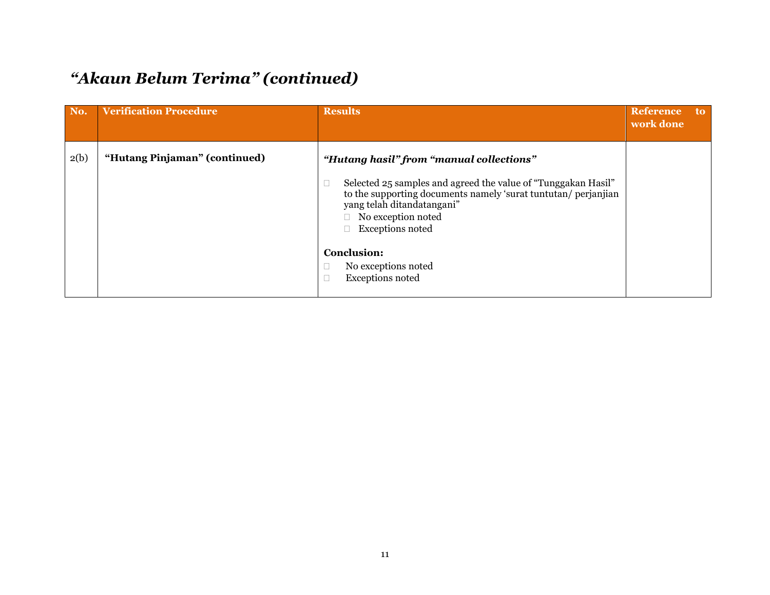#### *"Akaun Belum Terima" (continued)*

| No.  | <b>Verification Procedure</b> | <b>Results</b>                                                                                                                                                                                                                                                                                                                               | Reference<br>work done | to. |
|------|-------------------------------|----------------------------------------------------------------------------------------------------------------------------------------------------------------------------------------------------------------------------------------------------------------------------------------------------------------------------------------------|------------------------|-----|
| 2(b) | "Hutang Pinjaman" (continued) | "Hutang hasil" from "manual collections"<br>Selected 25 samples and agreed the value of "Tunggakan Hasil"<br>$\Box$<br>to the supporting documents namely 'surat tuntutan/ perjanjian<br>yang telah ditandatangani"<br>No exception noted<br><b>Exceptions noted</b><br><b>Conclusion:</b><br>No exceptions noted<br><b>Exceptions noted</b> |                        |     |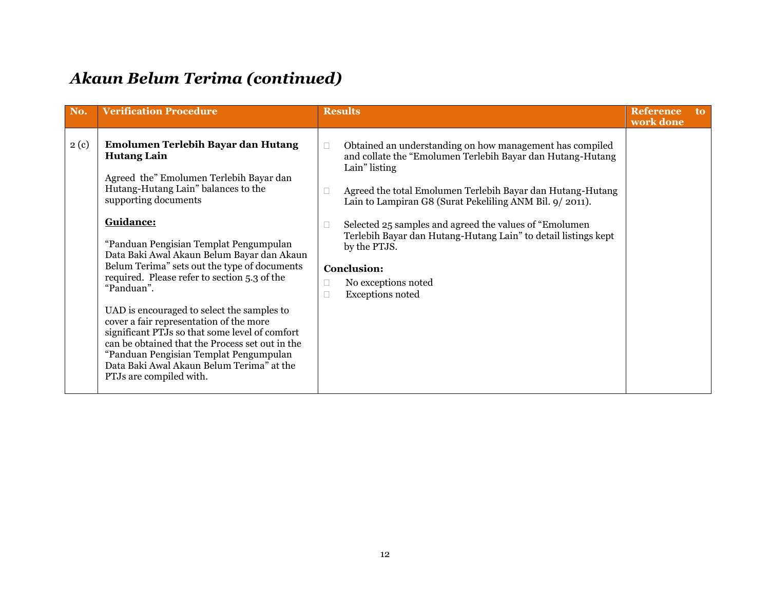#### *Akaun Belum Terima (continued)*

| No.  | <b>Verification Procedure</b>                                                                                                                                                                                                                                                                                                                                                                                                                                                                                                                                                                                                                                                                         | <b>Results</b>                                                                                                                                                                                                                                                                                                                                                                                                                                                                        | <b>Reference</b><br>work done | <sub>to</sub> |
|------|-------------------------------------------------------------------------------------------------------------------------------------------------------------------------------------------------------------------------------------------------------------------------------------------------------------------------------------------------------------------------------------------------------------------------------------------------------------------------------------------------------------------------------------------------------------------------------------------------------------------------------------------------------------------------------------------------------|---------------------------------------------------------------------------------------------------------------------------------------------------------------------------------------------------------------------------------------------------------------------------------------------------------------------------------------------------------------------------------------------------------------------------------------------------------------------------------------|-------------------------------|---------------|
| 2(c) | Emolumen Terlebih Bayar dan Hutang<br><b>Hutang Lain</b><br>Agreed the" Emolumen Terlebih Bayar dan<br>Hutang-Hutang Lain" balances to the<br>supporting documents<br>Guidance:<br>"Panduan Pengisian Templat Pengumpulan<br>Data Baki Awal Akaun Belum Bayar dan Akaun<br>Belum Terima" sets out the type of documents<br>required. Please refer to section 5.3 of the<br>"Panduan".<br>UAD is encouraged to select the samples to<br>cover a fair representation of the more<br>significant PTJs so that some level of comfort<br>can be obtained that the Process set out in the<br>"Panduan Pengisian Templat Pengumpulan<br>Data Baki Awal Akaun Belum Terima" at the<br>PTJs are compiled with. | Obtained an understanding on how management has compiled<br>and collate the "Emolumen Terlebih Bayar dan Hutang-Hutang<br>Lain" listing<br>Agreed the total Emolumen Terlebih Bayar dan Hutang-Hutang<br>Lain to Lampiran G8 (Surat Pekeliling ANM Bil. 9/2011).<br>Selected 25 samples and agreed the values of "Emolumen"<br>Terlebih Bayar dan Hutang-Hutang Lain" to detail listings kept<br>by the PTJS.<br><b>Conclusion:</b><br>No exceptions noted<br><b>Exceptions noted</b> |                               |               |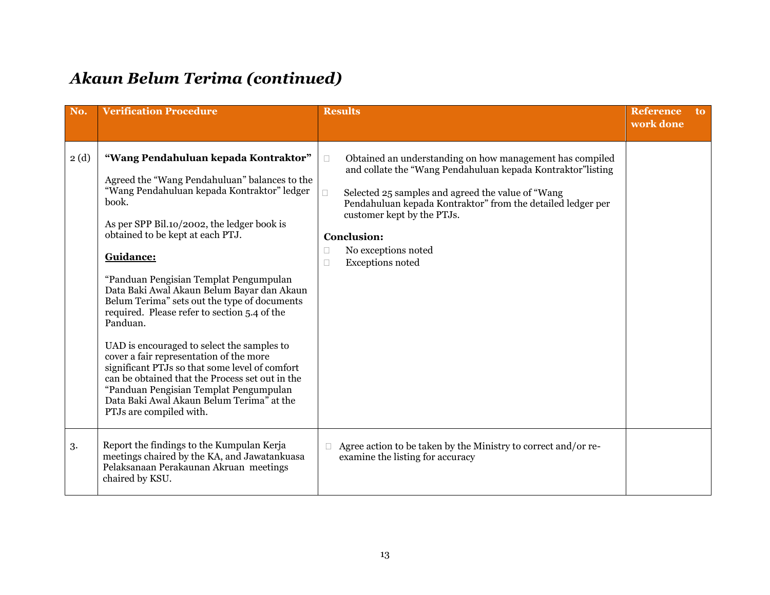#### *Akaun Belum Terima (continued)*

| No.  | <b>Verification Procedure</b>                                                                                                                                                                                                                                                                                                                                                                                                                                                                                                                                                                                                                                                                                                                                    | <b>Results</b>                                                                                                                                                                                                                                                                                                                                                                    | <b>Reference</b><br><sub>to</sub><br>work done |  |
|------|------------------------------------------------------------------------------------------------------------------------------------------------------------------------------------------------------------------------------------------------------------------------------------------------------------------------------------------------------------------------------------------------------------------------------------------------------------------------------------------------------------------------------------------------------------------------------------------------------------------------------------------------------------------------------------------------------------------------------------------------------------------|-----------------------------------------------------------------------------------------------------------------------------------------------------------------------------------------------------------------------------------------------------------------------------------------------------------------------------------------------------------------------------------|------------------------------------------------|--|
| 2(d) | "Wang Pendahuluan kepada Kontraktor"<br>Agreed the "Wang Pendahuluan" balances to the<br>"Wang Pendahuluan kepada Kontraktor" ledger<br>book.<br>As per SPP Bil.10/2002, the ledger book is<br>obtained to be kept at each PTJ.<br>Guidance:<br>"Panduan Pengisian Templat Pengumpulan<br>Data Baki Awal Akaun Belum Bayar dan Akaun<br>Belum Terima" sets out the type of documents<br>required. Please refer to section 5.4 of the<br>Panduan.<br>UAD is encouraged to select the samples to<br>cover a fair representation of the more<br>significant PTJs so that some level of comfort<br>can be obtained that the Process set out in the<br>"Panduan Pengisian Templat Pengumpulan<br>Data Baki Awal Akaun Belum Terima" at the<br>PTJs are compiled with. | Obtained an understanding on how management has compiled<br>$\Box$<br>and collate the "Wang Pendahuluan kepada Kontraktor" listing<br>Selected 25 samples and agreed the value of "Wang"<br>П<br>Pendahuluan kepada Kontraktor" from the detailed ledger per<br>customer kept by the PTJs.<br><b>Conclusion:</b><br>No exceptions noted<br>□<br><b>Exceptions noted</b><br>$\Box$ |                                                |  |
| 3.   | Report the findings to the Kumpulan Kerja<br>meetings chaired by the KA, and Jawatankuasa<br>Pelaksanaan Perakaunan Akruan meetings<br>chaired by KSU.                                                                                                                                                                                                                                                                                                                                                                                                                                                                                                                                                                                                           | Agree action to be taken by the Ministry to correct and/or re-<br>П<br>examine the listing for accuracy                                                                                                                                                                                                                                                                           |                                                |  |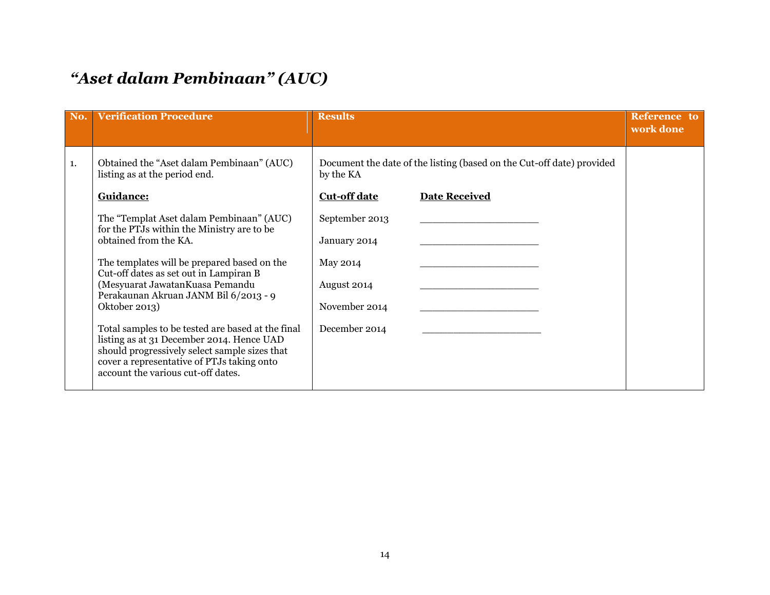#### *"Aset dalam Pembinaan" (AUC)*

| No. | <b>Verification Procedure</b>                                                                                                                                                                                                       | <b>Results</b>                                                                     |                      | Reference to<br>work done |
|-----|-------------------------------------------------------------------------------------------------------------------------------------------------------------------------------------------------------------------------------------|------------------------------------------------------------------------------------|----------------------|---------------------------|
| 1.  | Obtained the "Aset dalam Pembinaan" (AUC)<br>listing as at the period end.                                                                                                                                                          | Document the date of the listing (based on the Cut-off date) provided<br>by the KA |                      |                           |
|     | Guidance:                                                                                                                                                                                                                           | <b>Cut-off date</b>                                                                | <b>Date Received</b> |                           |
|     | The "Templat Aset dalam Pembinaan" (AUC)<br>for the PTJs within the Ministry are to be                                                                                                                                              | September 2013                                                                     |                      |                           |
|     | obtained from the KA.                                                                                                                                                                                                               | January 2014                                                                       |                      |                           |
|     | The templates will be prepared based on the<br>Cut-off dates as set out in Lampiran B                                                                                                                                               | May 2014                                                                           |                      |                           |
|     | (Mesyuarat Jawatan Kuasa Pemandu<br>Perakaunan Akruan JANM Bil 6/2013 - 9                                                                                                                                                           | August 2014                                                                        |                      |                           |
|     | Oktober 2013)                                                                                                                                                                                                                       | November 2014                                                                      |                      |                           |
|     | Total samples to be tested are based at the final<br>listing as at 31 December 2014. Hence UAD<br>should progressively select sample sizes that<br>cover a representative of PTJs taking onto<br>account the various cut-off dates. | December 2014                                                                      |                      |                           |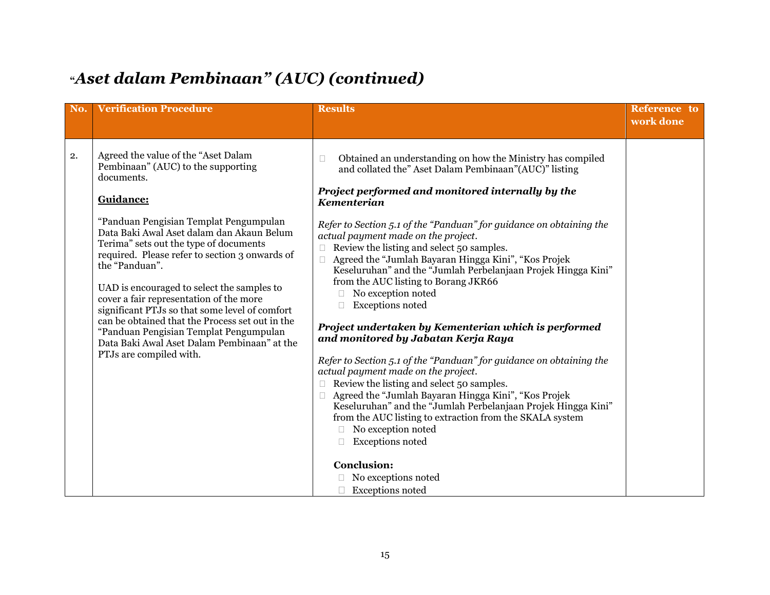#### **"***Aset dalam Pembinaan" (AUC) (continued)*

| No. | <b>Verification Procedure</b>                                                                                                                                                                                                                                                                                                                                                                                                                                                                                                                                                                                               | <b>Results</b>                                                                                                                                                                                                                                                                                                                                                                                                                                                                                                                                                                                                                                                                                                                                                                                                                                                                                                                                                                                                                                                                                                                | <b>Reference</b> to<br>work done |
|-----|-----------------------------------------------------------------------------------------------------------------------------------------------------------------------------------------------------------------------------------------------------------------------------------------------------------------------------------------------------------------------------------------------------------------------------------------------------------------------------------------------------------------------------------------------------------------------------------------------------------------------------|-------------------------------------------------------------------------------------------------------------------------------------------------------------------------------------------------------------------------------------------------------------------------------------------------------------------------------------------------------------------------------------------------------------------------------------------------------------------------------------------------------------------------------------------------------------------------------------------------------------------------------------------------------------------------------------------------------------------------------------------------------------------------------------------------------------------------------------------------------------------------------------------------------------------------------------------------------------------------------------------------------------------------------------------------------------------------------------------------------------------------------|----------------------------------|
| 2.  | Agreed the value of the "Aset Dalam<br>Pembinaan" (AUC) to the supporting<br>documents.<br>Guidance:<br>"Panduan Pengisian Templat Pengumpulan<br>Data Baki Awal Aset dalam dan Akaun Belum<br>Terima" sets out the type of documents<br>required. Please refer to section 3 onwards of<br>the "Panduan".<br>UAD is encouraged to select the samples to<br>cover a fair representation of the more<br>significant PTJs so that some level of comfort<br>can be obtained that the Process set out in the<br>"Panduan Pengisian Templat Pengumpulan<br>Data Baki Awal Aset Dalam Pembinaan" at the<br>PTJs are compiled with. | Obtained an understanding on how the Ministry has compiled<br>□<br>and collated the" Aset Dalam Pembinaan"(AUC)" listing<br>Project performed and monitored internally by the<br>Kementerian<br>Refer to Section 5.1 of the "Panduan" for guidance on obtaining the<br>actual payment made on the project.<br>Review the listing and select 50 samples.<br>Agreed the "Jumlah Bayaran Hingga Kini", "Kos Projek<br>$\Box$<br>Keseluruhan" and the "Jumlah Perbelanjaan Projek Hingga Kini"<br>from the AUC listing to Borang JKR66<br>No exception noted<br><b>Exceptions noted</b><br>Project undertaken by Kementerian which is performed<br>and monitored by Jabatan Kerja Raya<br>Refer to Section 5.1 of the "Panduan" for guidance on obtaining the<br>actual payment made on the project.<br>Review the listing and select 50 samples.<br>$\Box$<br>Agreed the "Jumlah Bayaran Hingga Kini", "Kos Projek<br>$\Box$<br>Keseluruhan" and the "Jumlah Perbelanjaan Projek Hingga Kini"<br>from the AUC listing to extraction from the SKALA system<br>No exception noted<br><b>Exceptions</b> noted<br><b>Conclusion:</b> |                                  |
|     |                                                                                                                                                                                                                                                                                                                                                                                                                                                                                                                                                                                                                             | □ No exceptions noted<br>$\Box$ Exceptions noted                                                                                                                                                                                                                                                                                                                                                                                                                                                                                                                                                                                                                                                                                                                                                                                                                                                                                                                                                                                                                                                                              |                                  |